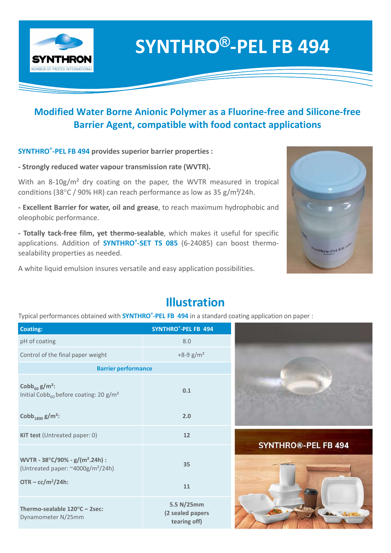

### SYNTHRO®-PEL FB 494

# Modified Water Borne Anionic Polymer as a Fluorine-free and Silicone-free SYNTHRO<sup>®</sup>-PEL FB 494<br>Water Borne Anionic Polymer as a Fluorine-free and Silicone-free<br>Barrier Agent, compatible with food contact applications<br>B<sup>3 494</sup> provides superior barrier properties :<br>d water vapour transmission ra SYNTHRO<sup>®</sup>-PEL FB 494<br>ified Water Borne Anionic Polymer as a Fluorine-free and Silicone-free<br>Barrier Agent, compatible with food contact applications<br>PEL FB 494 provides superior barrier properties :<br>reduced water vapour t SYNTHRO<sup>®</sup>-PEL FB 494<br>Modified Water Borne Anionic Polymer as a Fluorine-free and Silicone-free<br>Barrier Agent, compatible with food contact applications<br>SYNTHRO<sup>®</sup>-PEL FB 494<br>SYNTHRO<sup>®</sup>-PEL FB 494 provides superior barrier

SYNTHRO<sup>®</sup>-PEL FB 494 provides superior barrier properties :

**SYNTHRON**<br>
Modified Water Borne Anionic Polymer as a Fluorine-f<br>
Barrier Agent, compatible with food contact and<br>
SYNTHRO<sup>\*</sup>-PEL FB 494 provides superior barrier properties :<br>
- Strongly reduced water vapour transmission **Modified Water Borne Anionic Polymer as a Fluorine-free and Sarrier Agent, compatible with food contact applications.**<br> **SYNTHRO®-PEL FB 494 provides superior barrier properties :**<br> **Strongly reduced water vapour transmi SEALAGE INTERT ADDETERT ADDETERT ADDETERT AND MONOKET ADDETERT AND SEALAGE INTERTATION SYNTHRO"-PEL FB 494 provides superior barrier properties :<br>
SYNTHRO"-PEL FB 494 provides superior barrier properties :<br>
Strongly redu** 



#### Strongly reduced water vapour transmission rate (WVTR).<br>
With an 8-10g/m<sup>2</sup> dry coating on the paper, the WVTR measured in tropical<br>
conditions (38°C/90% HR) can reach performance as low as 35 g/m<sup>3</sup>/24h.<br>
Excellent Barri SYNTHRO<sup>®</sup>-PEL FB 494 With an 8-10g/m<sup>2</sup> dry coating on the paper, the WVTR measured in tropical<br>conditions (38°C/90% HR) can reach performance as low as 35 g/m<sup>2</sup>/24h.<br>Excellent Barrier for water, oil and grease, to reach maximum hydrophobic Control of the final paper weight  $+8-9$  g/m<sup>2</sup> Barrier performance Cobb $_{60}$  g/m<sup>2</sup>:  $\frac{1}{60}$  before coating: 20 g/m<sup>2</sup> 0.1 ecalability properties as needed.<br>
White liquid emulsion insures versatile and easy application possibilities.<br>
Illustration<br>
Vylical performances obtained with SYNTHRO<sup>-PEL FB</sup> 494 in a standard coating application on pap KIT test (Untreated paper: 0) 12 **INVERTION**<br>
SYNTHRO<sup>\*</sup>-PEL FB 494 in a standard coating application of<br>
Coating:<br>  $\mu$ H of coating<br>  $\mu$ H of coating<br>  $\mu$ H of coating<br>  $\mu$ H of coating<br>  $\mu$ H of coating<br>  $\mu$ H of coating<br>  $\mu$ H of coating<br>  $\mu$ <br>  $\mu$  o (Untreated paper: ~4000g/m²/24h) Figure 1 and Solution of the final paper weight<br>
Detailed the final paper weight<br>
SYNTHRO<sup>1</sup>-PEL FB 494<br>
Barrier performance<br>
Cobb<sub>60</sub> g/m<sup>2</sup>:<br>
Barrier performance<br>
Cobb<sub>60</sub> g/m<sup>2</sup>:<br>
Cobb<sub>60</sub> g/m<sup>2</sup>:<br>
Cobb<sub>60</sub> g/m<sup>2</sup>:<br>
Co  $OTR - cc/m<sup>2</sup>/24h$ : Control of the final paper weight<br>
Barrier performance<br>  $\text{Cobb}_{\text{log}} g/m^2$ :<br>  $\text{Total} \cdot \text{Cobb}_{\text{log}}$  before coating: 20 g/m<sup>2</sup><br>  $\text{Cobb}_{\text{log}}$  before coating: 20 g/m<sup>2</sup><br>  $\text{Cobb}_{\text{log}}$  before coating: 20 g/m<sup>2</sup><br>  $\text{Cobb}_{\text{log}}$  b Dynamometer N/25mm 5.5 N/25mm (2 sealed papers tearing off)

#### Illustration





## 35 11 and the contract of the contract of the contract of the contract of the contract of the contract of the con